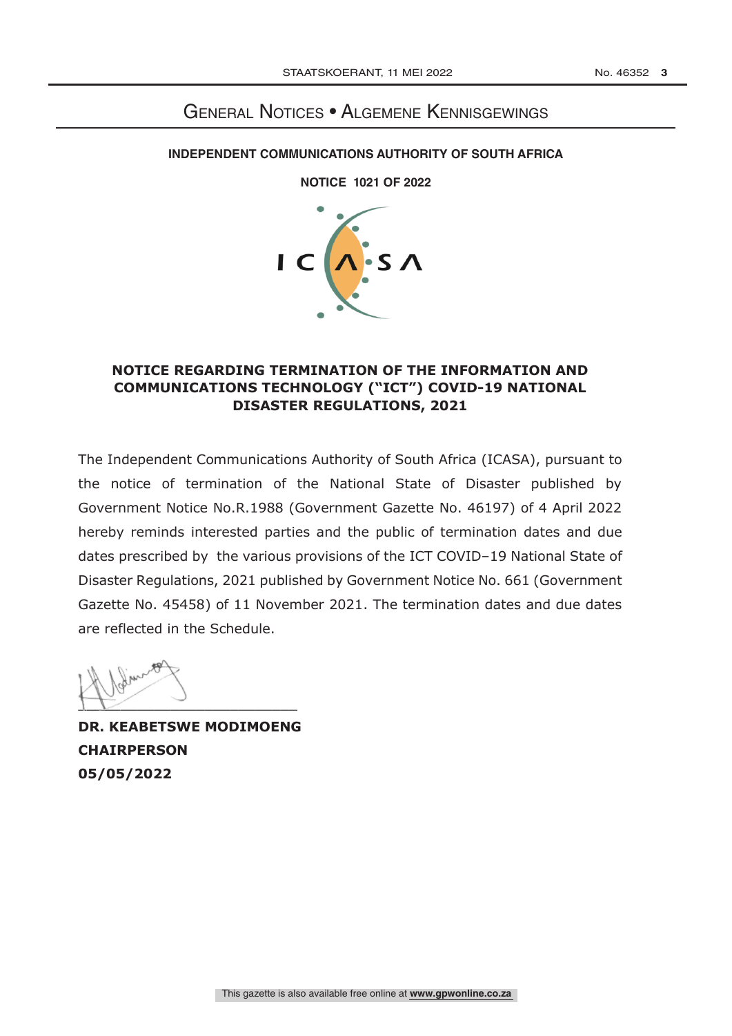## General Notices • Algemene Kennisgewings

## **INDEPENDENT COMMUNICATIONS AUTHORITY OF SOUTH AFRICA**

**NOTICE [ ] OF 2022**

**NOTICE 1021 OF 2022** 



## **NOTICE REGARDING TERMINATION OF THE INFORMATION AND COMMUNICATIONS TECHNOLOGY ("ICT") COVID-19 NATIONAL DISASTER REGULATIONS, 2021**

The Independent Communications Authority of South Africa (ICASA), pursuant to the notice of termination of the National State of Disaster published by Government Notice No.R.1988 (Government Gazette No. 46197) of 4 April 2022 hereby reminds interested parties and the public of termination dates and due dates prescribed by the various provisions of the ICT COVID–19 National State of Disaster Regulations, 2021 published by Government Notice No. 661 (Government Gazette No. 45458) of 11 November 2021. The termination dates and due dates are reflected in the Schedule.

 $\sum$ 

**DR. KEABETSWE MODIMOENG CHAIRPERSON 05/05/2022**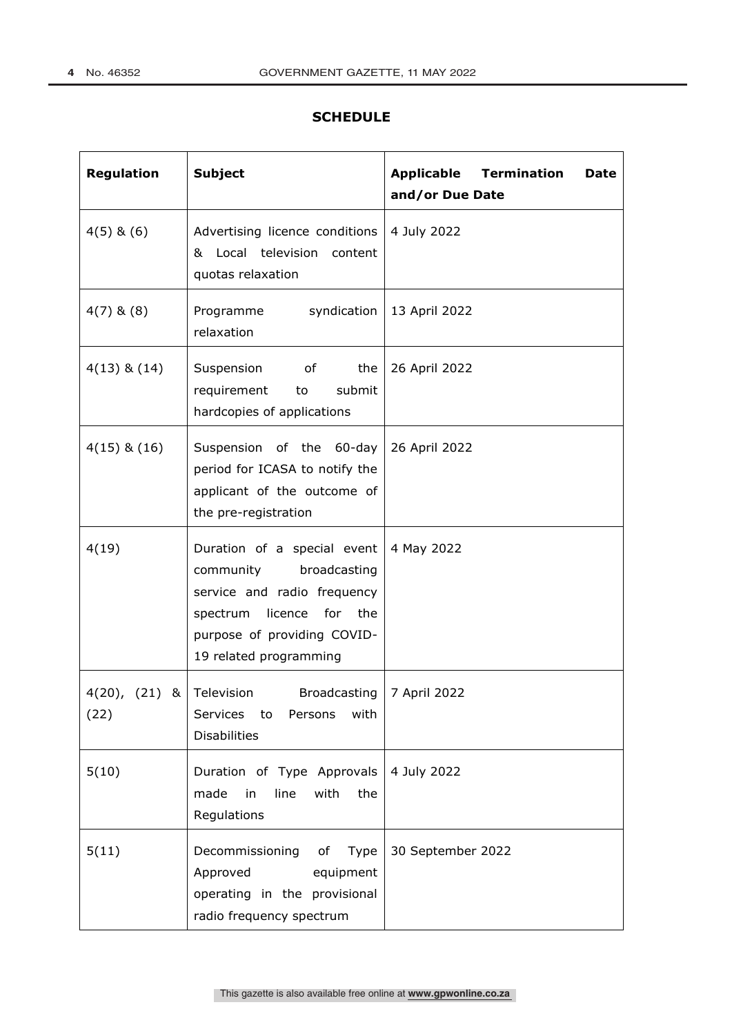٦

## **SCHEDULE**

| <b>Regulation</b>                  | <b>Subject</b>                                                                                                                                                               | <b>Applicable Termination</b><br><b>Date</b><br>and/or Due Date |
|------------------------------------|------------------------------------------------------------------------------------------------------------------------------------------------------------------------------|-----------------------------------------------------------------|
| $4(5)$ & $(6)$                     | Advertising licence conditions<br>& Local television content<br>quotas relaxation                                                                                            | 4 July 2022                                                     |
| $4(7)$ & $(8)$                     | syndication<br>Programme<br>relaxation                                                                                                                                       | 13 April 2022                                                   |
| $4(13)$ & $(14)$                   | Suspension of<br>the<br>submit<br>requirement<br>to<br>hardcopies of applications                                                                                            | 26 April 2022                                                   |
| $4(15)$ & $(16)$                   | Suspension of the 60-day<br>period for ICASA to notify the<br>applicant of the outcome of<br>the pre-registration                                                            | 26 April 2022                                                   |
| 4(19)                              | Duration of a special event<br>community<br>broadcasting<br>service and radio frequency<br>spectrum licence for the<br>purpose of providing COVID-<br>19 related programming | 4 May 2022                                                      |
| 4(20), $(21)$ & Television<br>(22) | Broadcasting  <br>Services to<br>Persons<br>with<br><b>Disabilities</b>                                                                                                      | 7 April 2022                                                    |
| 5(10)                              | Duration of Type Approvals<br>line<br>with<br>made<br>in<br>the<br>Regulations                                                                                               | 4 July 2022                                                     |
| 5(11)                              | Decommissioning<br>of<br>Type<br>Approved<br>equipment<br>operating in the provisional<br>radio frequency spectrum                                                           | 30 September 2022                                               |